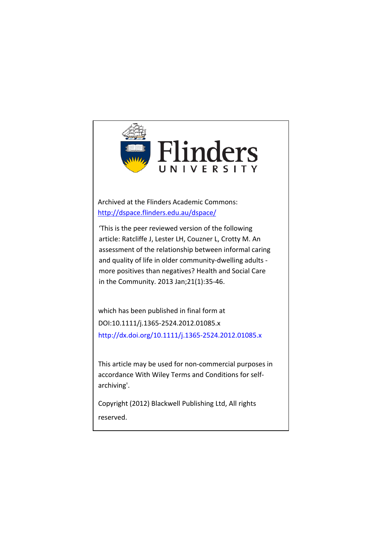

Archived at the Flinders Academic Commons: <http://dspace.flinders.edu.au/dspace/>

'This is the peer reviewed version of the following article: Ratcliffe J, Lester LH, Couzner L, Crotty M. An assessment of the relationship between informal caring and quality of life in older community-dwelling adults more positives than negatives? Health and Social Care in the Community. 2013 Jan;21(1):35-46.

which has been published in final form at DOI:10.1111/j.1365-2524.2012.01085.x http://dx.doi.org/[10.1111/j.1365-2524.2012.01085.x](http://dx.doi.org/10.1111/j.1365-2524.2012.01085.x)

This article may be used for non-commercial purposes in accordance With Wiley Terms and Conditions for selfarchiving'.

Copyright (2012) Blackwell Publishing Ltd, All rights reserved.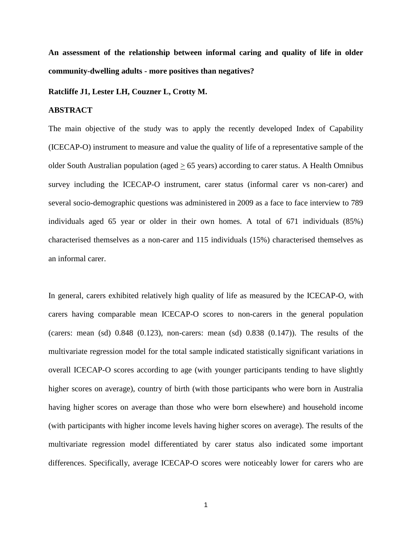**An assessment of the relationship between informal caring and quality of life in older community-dwelling adults - more positives than negatives?** 

#### **Ratcliffe J1, Lester LH, Couzner L, Crotty M.**

## **ABSTRACT**

The main objective of the study was to apply the recently developed Index of Capability (ICECAP-O) instrument to measure and value the quality of life of a representative sample of the older South Australian population (aged  $\geq$  65 years) according to carer status. A Health Omnibus survey including the ICECAP-O instrument, carer status (informal carer vs non-carer) and several socio-demographic questions was administered in 2009 as a face to face interview to 789 individuals aged 65 year or older in their own homes. A total of 671 individuals (85%) characterised themselves as a non-carer and 115 individuals (15%) characterised themselves as an informal carer.

In general, carers exhibited relatively high quality of life as measured by the ICECAP-O, with carers having comparable mean ICECAP-O scores to non-carers in the general population (carers: mean (sd) 0.848 (0.123), non-carers: mean (sd) 0.838 (0.147)). The results of the multivariate regression model for the total sample indicated statistically significant variations in overall ICECAP-O scores according to age (with younger participants tending to have slightly higher scores on average), country of birth (with those participants who were born in Australia having higher scores on average than those who were born elsewhere) and household income (with participants with higher income levels having higher scores on average). The results of the multivariate regression model differentiated by carer status also indicated some important differences. Specifically, average ICECAP-O scores were noticeably lower for carers who are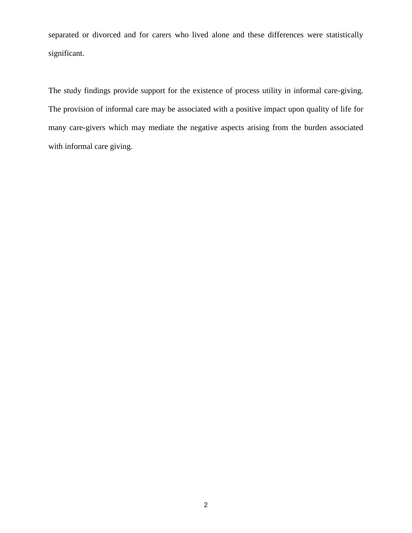separated or divorced and for carers who lived alone and these differences were statistically significant.

The study findings provide support for the existence of process utility in informal care-giving. The provision of informal care may be associated with a positive impact upon quality of life for many care-givers which may mediate the negative aspects arising from the burden associated with informal care giving.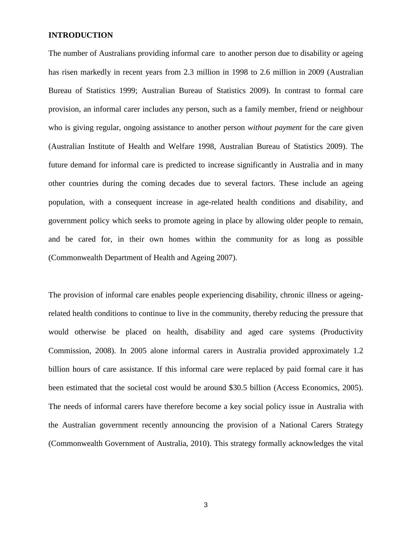## **INTRODUCTION**

The number of Australians providing informal care to another person due to disability or ageing has risen markedly in recent years from 2.3 million in 1998 to 2.6 million in 2009 (Australian Bureau of Statistics 1999; Australian Bureau of Statistics 2009). In contrast to formal care provision, an informal carer includes any person, such as a family member, friend or neighbour who is giving regular, ongoing assistance to another person *without payment* for the care given (Australian Institute of Health and Welfare 1998, Australian Bureau of Statistics 2009). The future demand for informal care is predicted to increase significantly in Australia and in many other countries during the coming decades due to several factors. These include an ageing population, with a consequent increase in age-related health conditions and disability, and government policy which seeks to promote ageing in place by allowing older people to remain, and be cared for, in their own homes within the community for as long as possible (Commonwealth Department of Health and Ageing 2007).

The provision of informal care enables people experiencing disability, chronic illness or ageingrelated health conditions to continue to live in the community, thereby reducing the pressure that would otherwise be placed on health, disability and aged care systems (Productivity Commission, 2008). In 2005 alone informal carers in Australia provided approximately 1.2 billion hours of care assistance. If this informal care were replaced by paid formal care it has been estimated that the societal cost would be around \$30.5 billion (Access Economics, 2005). The needs of informal carers have therefore become a key social policy issue in Australia with the Australian government recently announcing the provision of a National Carers Strategy (Commonwealth Government of Australia, 2010). This strategy formally acknowledges the vital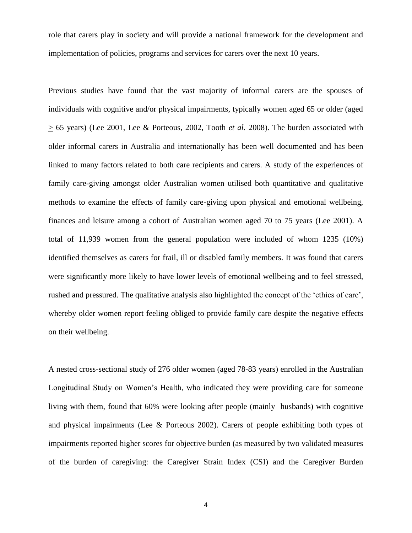role that carers play in society and will provide a national framework for the development and implementation of policies, programs and services for carers over the next 10 years.

Previous studies have found that the vast majority of informal carers are the spouses of individuals with cognitive and/or physical impairments, typically women aged 65 or older (aged > 65 years) (Lee 2001, Lee & Porteous, 2002, Tooth *et al.* 2008). The burden associated with older informal carers in Australia and internationally has been well documented and has been linked to many factors related to both care recipients and carers. A study of the experiences of family care-giving amongst older Australian women utilised both quantitative and qualitative methods to examine the effects of family care-giving upon physical and emotional wellbeing, finances and leisure among a cohort of Australian women aged 70 to 75 years (Lee 2001). A total of 11,939 women from the general population were included of whom 1235 (10%) identified themselves as carers for frail, ill or disabled family members. It was found that carers were significantly more likely to have lower levels of emotional wellbeing and to feel stressed, rushed and pressured. The qualitative analysis also highlighted the concept of the 'ethics of care', whereby older women report feeling obliged to provide family care despite the negative effects on their wellbeing.

A nested cross-sectional study of 276 older women (aged 78-83 years) enrolled in the Australian Longitudinal Study on Women's Health, who indicated they were providing care for someone living with them, found that 60% were looking after people (mainly husbands) with cognitive and physical impairments (Lee & Porteous 2002). Carers of people exhibiting both types of impairments reported higher scores for objective burden (as measured by two validated measures of the burden of caregiving: the Caregiver Strain Index (CSI) and the Caregiver Burden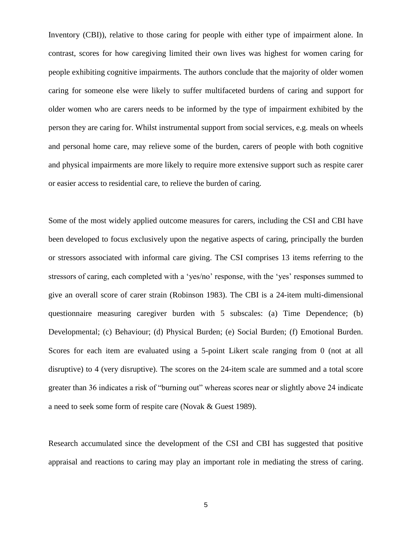Inventory (CBI)), relative to those caring for people with either type of impairment alone. In contrast, scores for how caregiving limited their own lives was highest for women caring for people exhibiting cognitive impairments. The authors conclude that the majority of older women caring for someone else were likely to suffer multifaceted burdens of caring and support for older women who are carers needs to be informed by the type of impairment exhibited by the person they are caring for. Whilst instrumental support from social services, e.g. meals on wheels and personal home care, may relieve some of the burden, carers of people with both cognitive and physical impairments are more likely to require more extensive support such as respite carer or easier access to residential care, to relieve the burden of caring.

Some of the most widely applied outcome measures for carers, including the CSI and CBI have been developed to focus exclusively upon the negative aspects of caring, principally the burden or stressors associated with informal care giving. The CSI comprises 13 items referring to the stressors of caring, each completed with a 'yes/no' response, with the 'yes' responses summed to give an overall score of carer strain (Robinson 1983). The CBI is a 24-item multi-dimensional questionnaire measuring caregiver burden with 5 subscales: (a) Time Dependence; (b) Developmental; (c) Behaviour; (d) Physical Burden; (e) Social Burden; (f) Emotional Burden. Scores for each item are evaluated using a 5-point Likert scale ranging from 0 (not at all disruptive) to 4 (very disruptive). The scores on the 24-item scale are summed and a total score greater than 36 indicates a risk of "burning out" whereas scores near or slightly above 24 indicate a need to seek some form of respite care (Novak & Guest 1989).

Research accumulated since the development of the CSI and CBI has suggested that positive appraisal and reactions to caring may play an important role in mediating the stress of caring.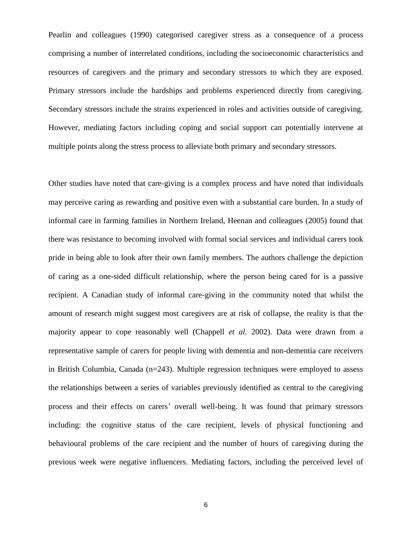Pearlin and colleagues (1990) categorised caregiver stress as a consequence of a process comprising a number of interrelated conditions, including the socioeconomic characteristics and resources of caregivers and the primary and secondary stressors to which they are exposed. Primary stressors include the hardships and problems experienced directly from caregiving. Secondary stressors include the strains experienced in roles and activities outside of caregiving. However, mediating factors including coping and social support can potentially intervene at multiple points along the stress process to alleviate both primary and secondary stressors.

Other studies have noted that care-giving is a complex process and have noted that individuals may perceive caring as rewarding and positive even with a substantial care burden. In a study of informal care in farming families in Northern Ireland, Heenan and colleagues (2005) found that there was resistance to becoming involved with formal social services and individual carers took pride in being able to look after their own family members. The authors challenge the depiction of caring as a one-sided difficult relationship, where the person being cared for is a passive recipient. A Canadian study of informal care-giving in the community noted that whilst the amount of research might suggest most caregivers are at risk of collapse, the reality is that the majority appear to cope reasonably well (Chappell *et al.* 2002). Data were drawn from a representative sample of carers for people living with dementia and non-dementia care receivers in British Columbia, Canada (n=243). Multiple regression techniques were employed to assess the relationships between a series of variables previously identified as central to the caregiving process and their effects on carers' overall well-being. It was found that primary stressors including: the cognitive status of the care recipient, levels of physical functioning and behavioural problems of the care recipient and the number of hours of caregiving during the previous week were negative influencers. Mediating factors, including the perceived level of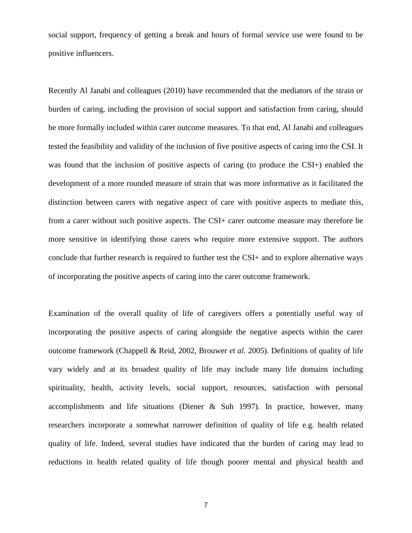social support, frequency of getting a break and hours of formal service use were found to be positive influencers.

Recently Al Janabi and colleagues (2010) have recommended that the mediators of the strain or burden of caring, including the provision of social support and satisfaction from caring, should be more formally included within carer outcome measures. To that end, Al Janabi and colleagues tested the feasibility and validity of the inclusion of five positive aspects of caring into the CSI. It was found that the inclusion of positive aspects of caring (to produce the CSI+) enabled the development of a more rounded measure of strain that was more informative as it facilitated the distinction between carers with negative aspect of care with positive aspects to mediate this, from a carer without such positive aspects. The CSI+ carer outcome measure may therefore be more sensitive in identifying those carers who require more extensive support. The authors conclude that further research is required to further test the CSI+ and to explore alternative ways of incorporating the positive aspects of caring into the carer outcome framework.

Examination of the overall quality of life of caregivers offers a potentially useful way of incorporating the positive aspects of caring alongside the negative aspects within the carer outcome framework (Chappell & Reid, 2002, Brouwer *et al.* 2005). Definitions of quality of life vary widely and at its broadest quality of life may include many life domains including spirituality, health, activity levels, social support, resources, satisfaction with personal accomplishments and life situations (Diener & Suh 1997). In practice, however, many researchers incorporate a somewhat narrower definition of quality of life e.g. health related quality of life. Indeed, several studies have indicated that the burden of caring may lead to reductions in health related quality of life though poorer mental and physical health and

7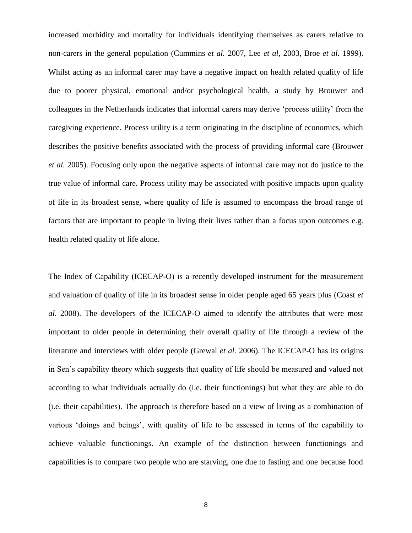increased morbidity and mortality for individuals identifying themselves as carers relative to non-carers in the general population (Cummins *et al.* 2007, Lee *et al,* 2003, Broe *et al.* 1999). Whilst acting as an informal carer may have a negative impact on health related quality of life due to poorer physical, emotional and/or psychological health, a study by Brouwer and colleagues in the Netherlands indicates that informal carers may derive 'process utility' from the caregiving experience. Process utility is a term originating in the discipline of economics, which describes the positive benefits associated with the process of providing informal care (Brouwer *et al.* 2005). Focusing only upon the negative aspects of informal care may not do justice to the true value of informal care. Process utility may be associated with positive impacts upon quality of life in its broadest sense, where quality of life is assumed to encompass the broad range of factors that are important to people in living their lives rather than a focus upon outcomes e.g. health related quality of life alone.

The Index of Capability (ICECAP-O) is a recently developed instrument for the measurement and valuation of quality of life in its broadest sense in older people aged 65 years plus (Coast *et al*. 2008). The developers of the ICECAP-O aimed to identify the attributes that were most important to older people in determining their overall quality of life through a review of the literature and interviews with older people (Grewal *et al.* 2006). The ICECAP-O has its origins in Sen's capability theory which suggests that quality of life should be measured and valued not according to what individuals actually do (i.e. their functionings) but what they are able to do (i.e. their capabilities). The approach is therefore based on a view of living as a combination of various 'doings and beings', with quality of life to be assessed in terms of the capability to achieve valuable functionings. An example of the distinction between functionings and capabilities is to compare two people who are starving, one due to fasting and one because food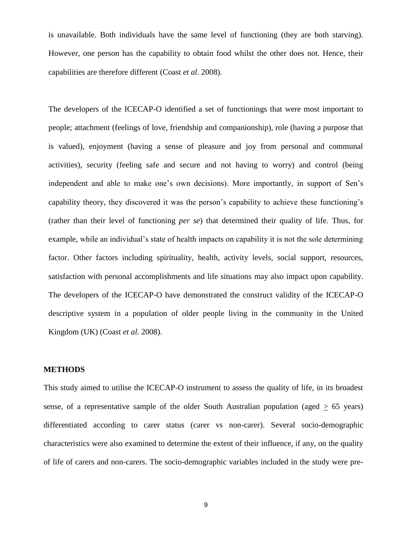is unavailable. Both individuals have the same level of functioning (they are both starving). However, one person has the capability to obtain food whilst the other does not. Hence, their capabilities are therefore different (Coast *et al*. 2008).

The developers of the ICECAP-O identified a set of functionings that were most important to people; attachment (feelings of love, friendship and companionship), role (having a purpose that is valued), enjoyment (having a sense of pleasure and joy from personal and communal activities), security (feeling safe and secure and not having to worry) and control (being independent and able to make one's own decisions). More importantly, in support of Sen's capability theory, they discovered it was the person's capability to achieve these functioning's (rather than their level of functioning *per se*) that determined their quality of life. Thus, for example, while an individual's state of health impacts on capability it is not the sole determining factor. Other factors including spirituality, health, activity levels, social support, resources, satisfaction with personal accomplishments and life situations may also impact upon capability. The developers of the ICECAP-O have demonstrated the construct validity of the ICECAP-O descriptive system in a population of older people living in the community in the United Kingdom (UK) (Coast *et al.* 2008).

## **METHODS**

This study aimed to utilise the ICECAP-O instrument to assess the quality of life, in its broadest sense, of a representative sample of the older South Australian population (aged  $\geq 65$  years) differentiated according to carer status (carer vs non-carer). Several socio-demographic characteristics were also examined to determine the extent of their influence, if any, on the quality of life of carers and non-carers. The socio-demographic variables included in the study were pre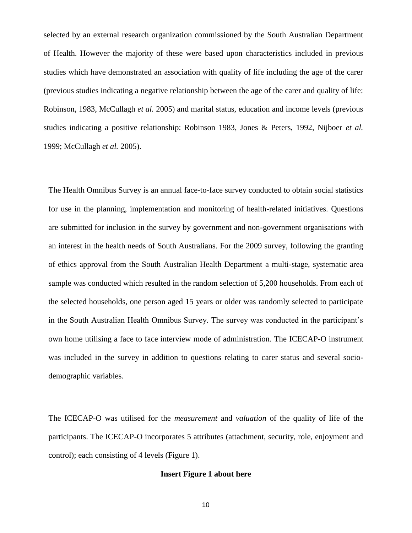selected by an external research organization commissioned by the South Australian Department of Health. However the majority of these were based upon characteristics included in previous studies which have demonstrated an association with quality of life including the age of the carer (previous studies indicating a negative relationship between the age of the carer and quality of life: Robinson, 1983, McCullagh *et al.* 2005) and marital status, education and income levels (previous studies indicating a positive relationship: Robinson 1983, Jones & Peters, 1992, Nijboer *et al.* 1999; McCullagh *et al.* 2005).

The Health Omnibus Survey is an annual face-to-face survey conducted to obtain social statistics for use in the planning, implementation and monitoring of health-related initiatives. Questions are submitted for inclusion in the survey by government and non-government organisations with an interest in the health needs of South Australians. For the 2009 survey, following the granting of ethics approval from the South Australian Health Department a multi-stage, systematic area sample was conducted which resulted in the random selection of 5,200 households. From each of the selected households, one person aged 15 years or older was randomly selected to participate in the South Australian Health Omnibus Survey. The survey was conducted in the participant's own home utilising a face to face interview mode of administration. The ICECAP-O instrument was included in the survey in addition to questions relating to carer status and several sociodemographic variables.

The ICECAP-O was utilised for the *measurement* and *valuation* of the quality of life of the participants. The ICECAP-O incorporates 5 attributes (attachment, security, role, enjoyment and control); each consisting of 4 levels (Figure 1).

## **Insert Figure 1 about here**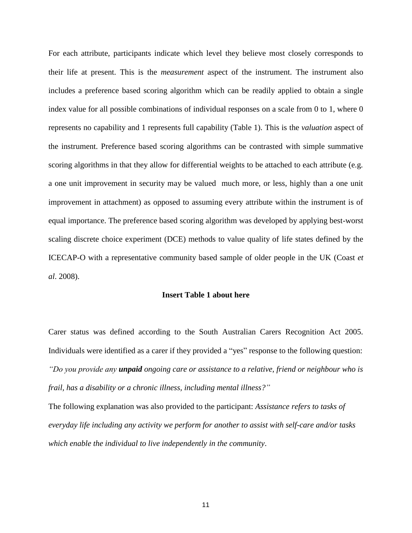For each attribute, participants indicate which level they believe most closely corresponds to their life at present. This is the *measurement* aspect of the instrument. The instrument also includes a preference based scoring algorithm which can be readily applied to obtain a single index value for all possible combinations of individual responses on a scale from 0 to 1, where 0 represents no capability and 1 represents full capability (Table 1). This is the *valuation* aspect of the instrument. Preference based scoring algorithms can be contrasted with simple summative scoring algorithms in that they allow for differential weights to be attached to each attribute (e.g. a one unit improvement in security may be valued much more, or less, highly than a one unit improvement in attachment) as opposed to assuming every attribute within the instrument is of equal importance. The preference based scoring algorithm was developed by applying best-worst scaling discrete choice experiment (DCE) methods to value quality of life states defined by the ICECAP-O with a representative community based sample of older people in the UK (Coast *et al*. 2008).

### **Insert Table 1 about here**

Carer status was defined according to the South Australian Carers Recognition Act 2005. Individuals were identified as a carer if they provided a "yes" response to the following question: *"Do you provide any unpaid ongoing care or assistance to a relative, friend or neighbour who is frail, has a disability or a chronic illness, including mental illness?"*

The following explanation was also provided to the participant: *Assistance refers to tasks of everyday life including any activity we perform for another to assist with self-care and/or tasks which enable the individual to live independently in the community*.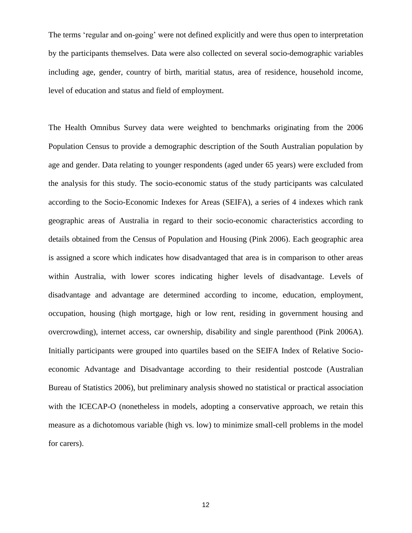The terms 'regular and on-going' were not defined explicitly and were thus open to interpretation by the participants themselves. Data were also collected on several socio-demographic variables including age, gender, country of birth, maritial status, area of residence, household income, level of education and status and field of employment.

The Health Omnibus Survey data were weighted to benchmarks originating from the 2006 Population Census to provide a demographic description of the South Australian population by age and gender. Data relating to younger respondents (aged under 65 years) were excluded from the analysis for this study. The socio-economic status of the study participants was calculated according to the Socio-Economic Indexes for Areas (SEIFA), a series of 4 indexes which rank geographic areas of Australia in regard to their socio-economic characteristics according to details obtained from the Census of Population and Housing (Pink 2006). Each geographic area is assigned a score which indicates how disadvantaged that area is in comparison to other areas within Australia, with lower scores indicating higher levels of disadvantage. Levels of disadvantage and advantage are determined according to income, education, employment, occupation, housing (high mortgage, high or low rent, residing in government housing and overcrowding), internet access, car ownership, disability and single parenthood (Pink 2006A). Initially participants were grouped into quartiles based on the SEIFA Index of Relative Socioeconomic Advantage and Disadvantage according to their residential postcode (Australian Bureau of Statistics 2006), but preliminary analysis showed no statistical or practical association with the ICECAP-O (nonetheless in models, adopting a conservative approach, we retain this measure as a dichotomous variable (high vs. low) to minimize small-cell problems in the model for carers).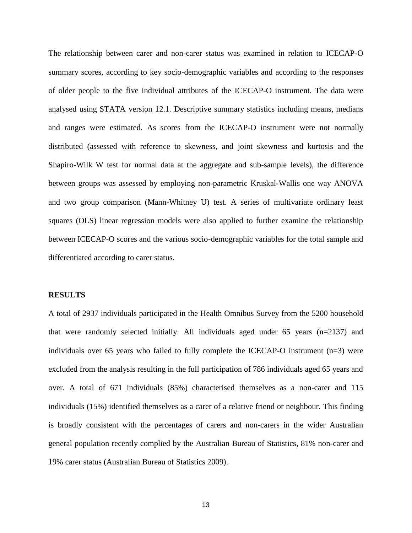The relationship between carer and non-carer status was examined in relation to ICECAP-O summary scores, according to key socio-demographic variables and according to the responses of older people to the five individual attributes of the ICECAP-O instrument. The data were analysed using STATA version 12.1. Descriptive summary statistics including means, medians and ranges were estimated. As scores from the ICECAP-O instrument were not normally distributed (assessed with reference to skewness, and joint skewness and kurtosis and the Shapiro-Wilk W test for normal data at the aggregate and sub-sample levels), the difference between groups was assessed by employing non-parametric Kruskal-Wallis one way ANOVA and two group comparison (Mann-Whitney U) test. A series of multivariate ordinary least squares (OLS) linear regression models were also applied to further examine the relationship between ICECAP-O scores and the various socio-demographic variables for the total sample and differentiated according to carer status.

#### **RESULTS**

A total of 2937 individuals participated in the Health Omnibus Survey from the 5200 household that were randomly selected initially. All individuals aged under 65 years (n=2137) and individuals over 65 years who failed to fully complete the ICECAP-O instrument (n=3) were excluded from the analysis resulting in the full participation of 786 individuals aged 65 years and over. A total of 671 individuals (85%) characterised themselves as a non-carer and 115 individuals (15%) identified themselves as a carer of a relative friend or neighbour. This finding is broadly consistent with the percentages of carers and non-carers in the wider Australian general population recently complied by the Australian Bureau of Statistics, 81% non-carer and 19% carer status (Australian Bureau of Statistics 2009).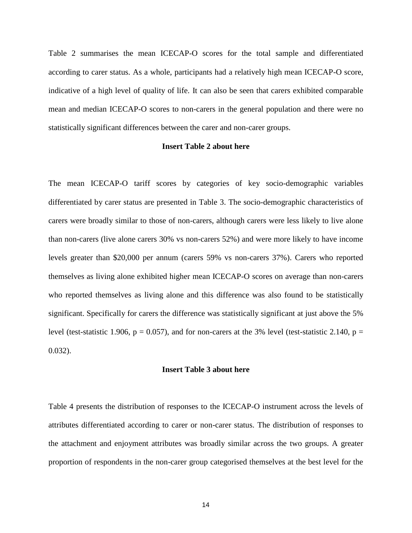Table 2 summarises the mean ICECAP-O scores for the total sample and differentiated according to carer status. As a whole, participants had a relatively high mean ICECAP-O score, indicative of a high level of quality of life. It can also be seen that carers exhibited comparable mean and median ICECAP-O scores to non-carers in the general population and there were no statistically significant differences between the carer and non-carer groups.

## **Insert Table 2 about here**

The mean ICECAP-O tariff scores by categories of key socio-demographic variables differentiated by carer status are presented in Table 3. The socio-demographic characteristics of carers were broadly similar to those of non-carers, although carers were less likely to live alone than non-carers (live alone carers 30% vs non-carers 52%) and were more likely to have income levels greater than \$20,000 per annum (carers 59% vs non-carers 37%). Carers who reported themselves as living alone exhibited higher mean ICECAP-O scores on average than non-carers who reported themselves as living alone and this difference was also found to be statistically significant. Specifically for carers the difference was statistically significant at just above the 5% level (test-statistic 1.906,  $p = 0.057$ ), and for non-carers at the 3% level (test-statistic 2.140,  $p =$ 0.032).

#### **Insert Table 3 about here**

Table 4 presents the distribution of responses to the ICECAP-O instrument across the levels of attributes differentiated according to carer or non-carer status. The distribution of responses to the attachment and enjoyment attributes was broadly similar across the two groups. A greater proportion of respondents in the non-carer group categorised themselves at the best level for the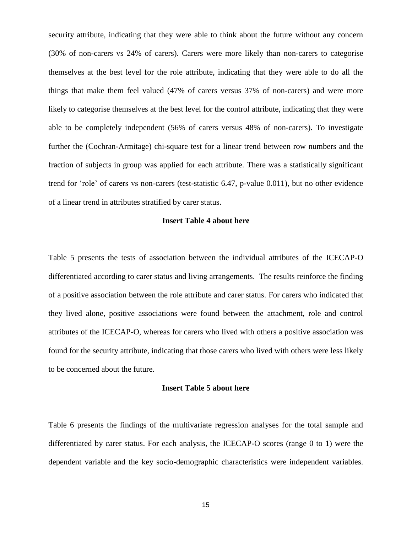security attribute, indicating that they were able to think about the future without any concern (30% of non-carers vs 24% of carers). Carers were more likely than non-carers to categorise themselves at the best level for the role attribute, indicating that they were able to do all the things that make them feel valued (47% of carers versus 37% of non-carers) and were more likely to categorise themselves at the best level for the control attribute, indicating that they were able to be completely independent (56% of carers versus 48% of non-carers). To investigate further the (Cochran-Armitage) chi-square test for a linear trend between row numbers and the fraction of subjects in group was applied for each attribute. There was a statistically significant trend for 'role' of carers vs non-carers (test-statistic 6.47, p-value 0.011), but no other evidence of a linear trend in attributes stratified by carer status.

### **Insert Table 4 about here**

Table 5 presents the tests of association between the individual attributes of the ICECAP-O differentiated according to carer status and living arrangements. The results reinforce the finding of a positive association between the role attribute and carer status. For carers who indicated that they lived alone, positive associations were found between the attachment, role and control attributes of the ICECAP-O, whereas for carers who lived with others a positive association was found for the security attribute, indicating that those carers who lived with others were less likely to be concerned about the future.

#### **Insert Table 5 about here**

Table 6 presents the findings of the multivariate regression analyses for the total sample and differentiated by carer status. For each analysis, the ICECAP-O scores (range 0 to 1) were the dependent variable and the key socio-demographic characteristics were independent variables.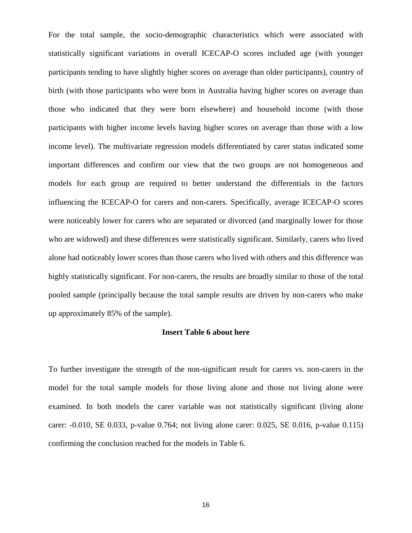For the total sample, the socio-demographic characteristics which were associated with statistically significant variations in overall ICECAP-O scores included age (with younger participants tending to have slightly higher scores on average than older participants), country of birth (with those participants who were born in Australia having higher scores on average than those who indicated that they were born elsewhere) and household income (with those participants with higher income levels having higher scores on average than those with a low income level). The multivariate regression models differentiated by carer status indicated some important differences and confirm our view that the two groups are not homogeneous and models for each group are required to better understand the differentials in the factors influencing the ICECAP-O for carers and non-carers. Specifically, average ICECAP-O scores were noticeably lower for carers who are separated or divorced (and marginally lower for those who are widowed) and these differences were statistically significant. Similarly, carers who lived alone had noticeably lower scores than those carers who lived with others and this difference was highly statistically significant. For non-carers, the results are broadly similar to those of the total pooled sample (principally because the total sample results are driven by non-carers who make up approximately 85% of the sample).

#### **Insert Table 6 about here**

To further investigate the strength of the non-significant result for carers vs. non-carers in the model for the total sample models for those living alone and those not living alone were examined. In both models the carer variable was not statistically significant (living alone carer: -0.010, SE 0.033, p-value 0.764; not living alone carer: 0.025, SE 0.016, p-value 0.115) confirming the conclusion reached for the models in Table 6.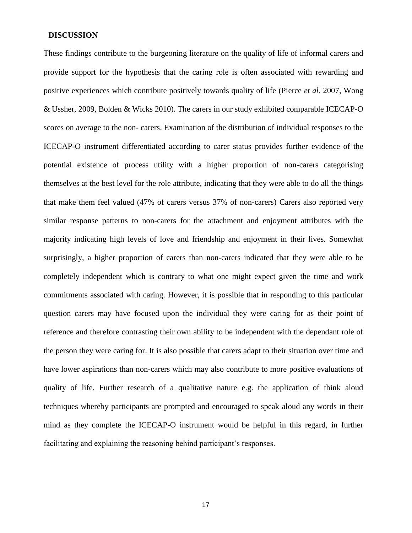## **DISCUSSION**

These findings contribute to the burgeoning literature on the quality of life of informal carers and provide support for the hypothesis that the caring role is often associated with rewarding and positive experiences which contribute positively towards quality of life (Pierce *et al.* 2007, Wong & Ussher, 2009, Bolden & Wicks 2010). The carers in our study exhibited comparable ICECAP-O scores on average to the non- carers. Examination of the distribution of individual responses to the ICECAP-O instrument differentiated according to carer status provides further evidence of the potential existence of process utility with a higher proportion of non-carers categorising themselves at the best level for the role attribute, indicating that they were able to do all the things that make them feel valued (47% of carers versus 37% of non-carers) Carers also reported very similar response patterns to non-carers for the attachment and enjoyment attributes with the majority indicating high levels of love and friendship and enjoyment in their lives. Somewhat surprisingly, a higher proportion of carers than non-carers indicated that they were able to be completely independent which is contrary to what one might expect given the time and work commitments associated with caring. However, it is possible that in responding to this particular question carers may have focused upon the individual they were caring for as their point of reference and therefore contrasting their own ability to be independent with the dependant role of the person they were caring for. It is also possible that carers adapt to their situation over time and have lower aspirations than non-carers which may also contribute to more positive evaluations of quality of life. Further research of a qualitative nature e.g. the application of think aloud techniques whereby participants are prompted and encouraged to speak aloud any words in their mind as they complete the ICECAP-O instrument would be helpful in this regard, in further facilitating and explaining the reasoning behind participant's responses.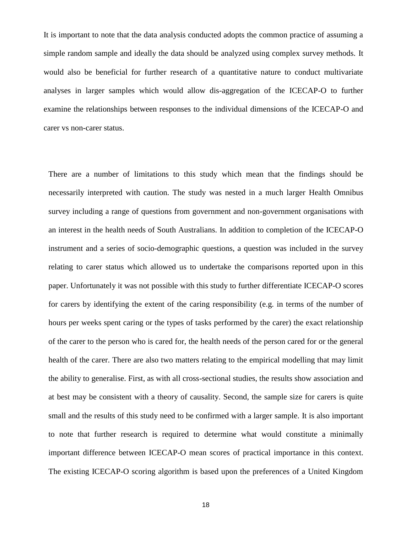It is important to note that the data analysis conducted adopts the common practice of assuming a simple random sample and ideally the data should be analyzed using complex survey methods. It would also be beneficial for further research of a quantitative nature to conduct multivariate analyses in larger samples which would allow dis-aggregation of the ICECAP-O to further examine the relationships between responses to the individual dimensions of the ICECAP-O and carer vs non-carer status.

There are a number of limitations to this study which mean that the findings should be necessarily interpreted with caution. The study was nested in a much larger Health Omnibus survey including a range of questions from government and non-government organisations with an interest in the health needs of South Australians. In addition to completion of the ICECAP-O instrument and a series of socio-demographic questions, a question was included in the survey relating to carer status which allowed us to undertake the comparisons reported upon in this paper. Unfortunately it was not possible with this study to further differentiate ICECAP-O scores for carers by identifying the extent of the caring responsibility (e.g. in terms of the number of hours per weeks spent caring or the types of tasks performed by the carer) the exact relationship of the carer to the person who is cared for, the health needs of the person cared for or the general health of the carer. There are also two matters relating to the empirical modelling that may limit the ability to generalise. First, as with all cross-sectional studies, the results show association and at best may be consistent with a theory of causality. Second, the sample size for carers is quite small and the results of this study need to be confirmed with a larger sample. It is also important to note that further research is required to determine what would constitute a minimally important difference between ICECAP-O mean scores of practical importance in this context. The existing ICECAP-O scoring algorithm is based upon the preferences of a United Kingdom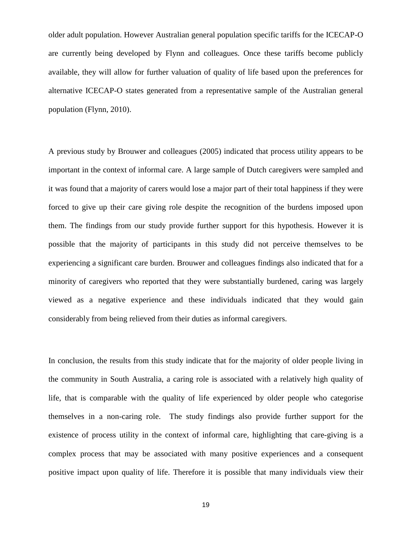older adult population. However Australian general population specific tariffs for the ICECAP-O are currently being developed by Flynn and colleagues. Once these tariffs become publicly available, they will allow for further valuation of quality of life based upon the preferences for alternative ICECAP-O states generated from a representative sample of the Australian general population (Flynn, 2010).

A previous study by Brouwer and colleagues (2005) indicated that process utility appears to be important in the context of informal care. A large sample of Dutch caregivers were sampled and it was found that a majority of carers would lose a major part of their total happiness if they were forced to give up their care giving role despite the recognition of the burdens imposed upon them. The findings from our study provide further support for this hypothesis. However it is possible that the majority of participants in this study did not perceive themselves to be experiencing a significant care burden. Brouwer and colleagues findings also indicated that for a minority of caregivers who reported that they were substantially burdened, caring was largely viewed as a negative experience and these individuals indicated that they would gain considerably from being relieved from their duties as informal caregivers.

In conclusion, the results from this study indicate that for the majority of older people living in the community in South Australia, a caring role is associated with a relatively high quality of life, that is comparable with the quality of life experienced by older people who categorise themselves in a non-caring role. The study findings also provide further support for the existence of process utility in the context of informal care, highlighting that care-giving is a complex process that may be associated with many positive experiences and a consequent positive impact upon quality of life. Therefore it is possible that many individuals view their

19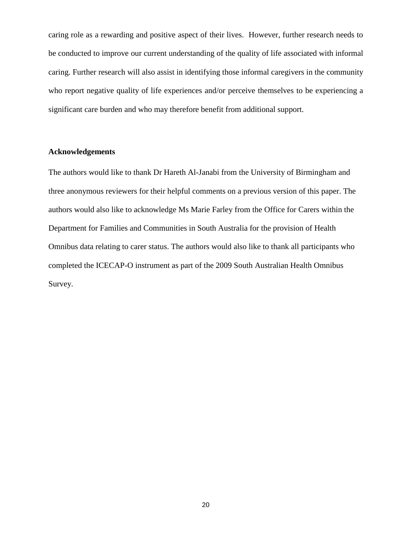caring role as a rewarding and positive aspect of their lives. However, further research needs to be conducted to improve our current understanding of the quality of life associated with informal caring. Further research will also assist in identifying those informal caregivers in the community who report negative quality of life experiences and/or perceive themselves to be experiencing a significant care burden and who may therefore benefit from additional support.

## **Acknowledgements**

The authors would like to thank Dr Hareth Al-Janabi from the University of Birmingham and three anonymous reviewers for their helpful comments on a previous version of this paper. The authors would also like to acknowledge Ms Marie Farley from the Office for Carers within the Department for Families and Communities in South Australia for the provision of Health Omnibus data relating to carer status. The authors would also like to thank all participants who completed the ICECAP-O instrument as part of the 2009 South Australian Health Omnibus Survey.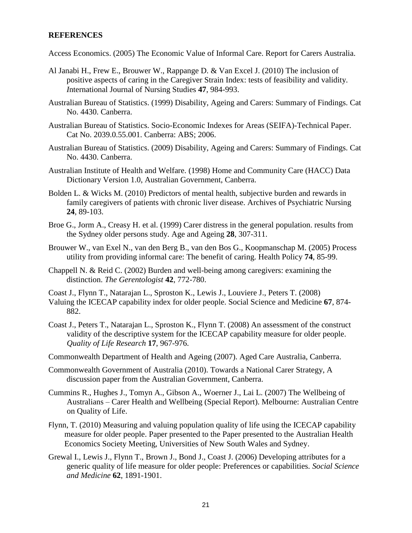## **REFERENCES**

Access Economics. (2005) The Economic Value of Informal Care. Report for Carers Australia.

- Al Janabi H., Frew E., Brouwer W., Rappange D. & Van Excel J. (2010) The inclusion of positive aspects of caring in the Caregiver Strain Index: tests of feasibility and validity. *I*nternational Journal of Nursing Studies **47**, 984-993.
- Australian Bureau of Statistics. (1999) Disability, Ageing and Carers: Summary of Findings. Cat No. 4430. Canberra.
- Australian Bureau of Statistics. Socio-Economic Indexes for Areas (SEIFA)-Technical Paper. Cat No. 2039.0.55.001. Canberra: ABS; 2006.
- Australian Bureau of Statistics. (2009) Disability, Ageing and Carers: Summary of Findings. Cat No. 4430. Canberra.
- Australian Institute of Health and Welfare. (1998) Home and Community Care (HACC) Data Dictionary Version 1.0, Australian Government, Canberra.
- Bolden L. & Wicks M. (2010) Predictors of mental health, subjective burden and rewards in family caregivers of patients with chronic liver disease. Archives of Psychiatric Nursing **24**, 89-103.
- Broe G., Jorm A., Creasy H. et al. (1999) Carer distress in the general population. results from the Sydney older persons study. Age and Ageing **28**, 307-311.
- Brouwer W., van Exel N., van den Berg B., van den Bos G., Koopmanschap M. (2005) Process utility from providing informal care: The benefit of caring. Health Policy **74**, 85-99.
- Chappell N. & Reid C. (2002) Burden and well-being among caregivers: examining the distinction. *The Gerentologist* **42**, 772-780.
- Coast J., Flynn T., Natarajan L., Sproston K., Lewis J., Louviere J., Peters T. (2008)
- Valuing the ICECAP capability index for older people. Social Science and Medicine **67**, 874- 882.
- Coast J., Peters T., Natarajan L., Sproston K., Flynn T. (2008) An assessment of the construct validity of the descriptive system for the ICECAP capability measure for older people. *Quality of Life Research* **17**, 967-976.
- Commonwealth Department of Health and Ageing (2007). Aged Care Australia, Canberra.
- Commonwealth Government of Australia (2010). Towards a National Carer Strategy, A discussion paper from the Australian Government, Canberra.
- Cummins R., Hughes J., Tomyn A., Gibson A., Woerner J., Lai L. (2007) The Wellbeing of Australians – Carer Health and Wellbeing (Special Report). Melbourne: Australian Centre on Quality of Life.
- Flynn, T. (2010) Measuring and valuing population quality of life using the ICECAP capability measure for older people. Paper presented to the Paper presented to the Australian Health Economics Society Meeting, Universities of New South Wales and Sydney.
- Grewal I., Lewis J., Flynn T., Brown J., Bond J., Coast J. (2006) Developing attributes for a generic quality of life measure for older people: Preferences or capabilities. *Social Science and Medicine* **62**, 1891-1901.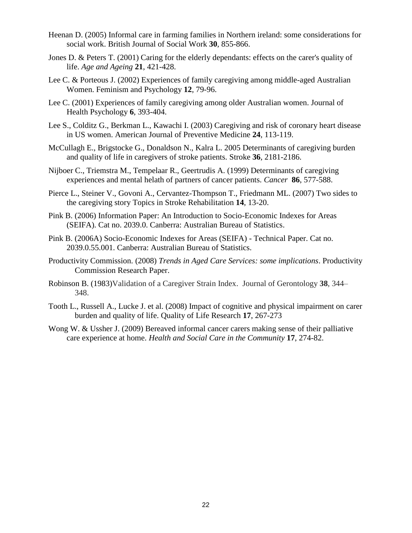- Heenan D. (2005) Informal care in farming families in Northern ireland: some considerations for social work. British Journal of Social Work **30**, 855-866.
- Jones D. & Peters T. (2001) Caring for the elderly dependants: effects on the carer's quality of life. *Age and Ageing* **21**, 421-428.
- Lee C. & Porteous J. (2002) Experiences of family caregiving among middle-aged Australian Women. Feminism and Psychology **12**, 79-96.
- Lee C. (2001) Experiences of family caregiving among older Australian women. Journal of Health Psychology **6**, 393-404.
- Lee S., Colditz G., Berkman L., Kawachi I. (2003) Caregiving and risk of coronary heart disease in US women. American Journal of Preventive Medicine **24**, 113-119.
- McCullagh E., Brigstocke G., Donaldson N., Kalra L. 2005 Determinants of caregiving burden and quality of life in caregivers of stroke patients. Stroke **36**, 2181-2186.
- Nijboer C., Triemstra M., Tempelaar R., Geertrudis A. (1999) Determinants of caregiving experiences and mental helath of partners of cancer patients. *Cancer* **86**, 577-588.
- Pierce L., Steiner V., Govoni A., Cervantez-Thompson T., Friedmann ML. (2007) Two sides to the caregiving story Topics in Stroke Rehabilitation **14**, 13-20.
- Pink B. (2006) Information Paper: An Introduction to Socio-Economic Indexes for Areas (SEIFA). Cat no. 2039.0. Canberra: Australian Bureau of Statistics.
- Pink B. (2006A) Socio-Economic Indexes for Areas (SEIFA) Technical Paper. Cat no. 2039.0.55.001. Canberra: Australian Bureau of Statistics.
- Productivity Commission. (2008) *Trends in Aged Care Services: some implications*. Productivity Commission Research Paper.
- Robinson B. (1983)Validation of a Caregiver Strain Index. Journal of Gerontology **38**, 344– 348.
- Tooth L., Russell A., Lucke J. et al. (2008) Impact of cognitive and physical impairment on carer burden and quality of life. Quality of Life Research **17**, 267-273
- Wong W. & Ussher J. (2009) Bereaved informal cancer carers making sense of their palliative care experience at home. *Health and Social Care in the Community* **17**, 274-82.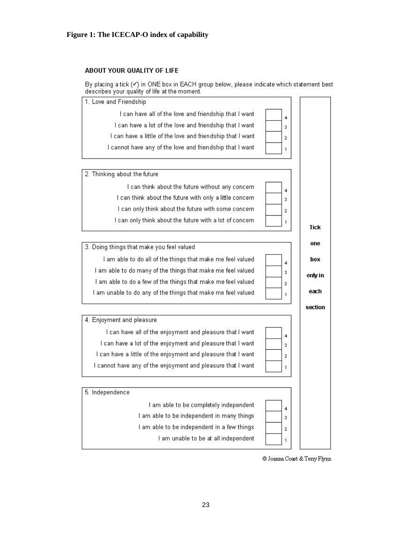## **Figure 1: The ICECAP-O index of capability**

#### ABOUT YOUR QUALITY OF LIFE

By placing a tick (v) in ONE box in EACH group below, please indicate which statement best describes your quality of life at the moment.



© Joanna Coast & Terry Flynn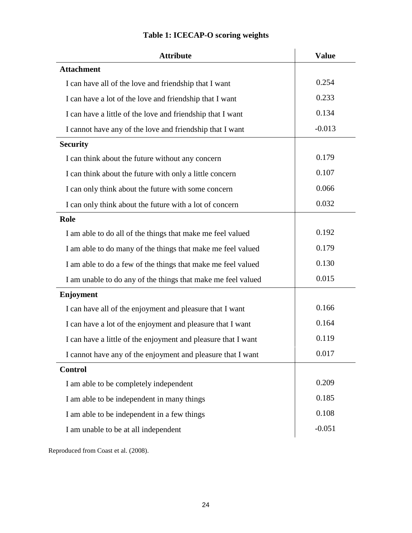| <b>Attribute</b>                                              | <b>Value</b> |
|---------------------------------------------------------------|--------------|
| <b>Attachment</b>                                             |              |
| I can have all of the love and friendship that I want         | 0.254        |
| I can have a lot of the love and friendship that I want       | 0.233        |
| I can have a little of the love and friendship that I want    | 0.134        |
| I cannot have any of the love and friendship that I want      | $-0.013$     |
| <b>Security</b>                                               |              |
| I can think about the future without any concern              | 0.179        |
| I can think about the future with only a little concern       | 0.107        |
| I can only think about the future with some concern           | 0.066        |
| I can only think about the future with a lot of concern       | 0.032        |
| Role                                                          |              |
| I am able to do all of the things that make me feel valued    | 0.192        |
| I am able to do many of the things that make me feel valued   | 0.179        |
| I am able to do a few of the things that make me feel valued  | 0.130        |
| I am unable to do any of the things that make me feel valued  | 0.015        |
| <b>Enjoyment</b>                                              |              |
| I can have all of the enjoyment and pleasure that I want      | 0.166        |
| I can have a lot of the enjoyment and pleasure that I want    | 0.164        |
| I can have a little of the enjoyment and pleasure that I want | 0.119        |
| I cannot have any of the enjoyment and pleasure that I want   | 0.017        |
| <b>Control</b>                                                |              |
| I am able to be completely independent                        | 0.209        |
| I am able to be independent in many things                    | 0.185        |
| I am able to be independent in a few things                   | 0.108        |
| I am unable to be at all independent                          | $-0.051$     |
|                                                               |              |

# **Table 1: ICECAP-O scoring weights**

Reproduced from Coast et al. (2008).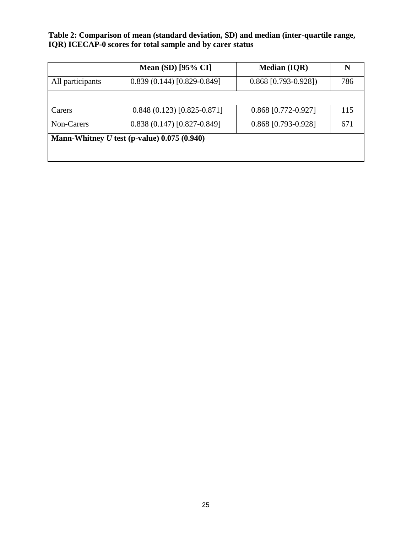**Table 2: Comparison of mean (standard deviation, SD) and median (inter-quartile range, IQR) ICECAP-0 scores for total sample and by carer status**

|                  | <b>Mean (SD)</b> [95% CI]                     | <b>Median (IQR)</b>    | N   |
|------------------|-----------------------------------------------|------------------------|-----|
| All participants | $0.839(0.144)[0.829-0.849]$                   | $0.868$ [0.793-0.928]) | 786 |
|                  |                                               |                        |     |
| Carers           | $0.848(0.123)[0.825-0.871]$                   | $0.868$ [0.772-0.927]  | 115 |
| Non-Carers       | $0.838(0.147)[0.827-0.849]$                   | 0.868 [0.793-0.928]    | 671 |
|                  | Mann-Whitney $U$ test (p-value) 0.075 (0.940) |                        |     |
|                  |                                               |                        |     |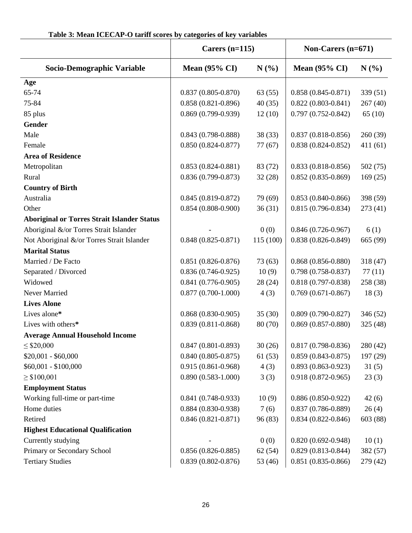| Table 3: Mean ICECAP-O tariff scores by categories of key variables |  |
|---------------------------------------------------------------------|--|
|---------------------------------------------------------------------|--|

|                                                    | Carers $(n=115)$         |           | Non-Carers $(n=671)$   |          |
|----------------------------------------------------|--------------------------|-----------|------------------------|----------|
| Socio-Demographic Variable                         | Mean $(95\% \text{ CI})$ | N(%)      | <b>Mean (95% CI)</b>   | N(%)     |
| Age                                                |                          |           |                        |          |
| 65-74                                              | $0.837(0.805 - 0.870)$   | 63(55)    | $0.858(0.845 - 0.871)$ | 339(51)  |
| 75-84                                              | $0.858(0.821 - 0.896)$   | 40(35)    | $0.822(0.803 - 0.841)$ | 267(40)  |
| 85 plus                                            | $0.869(0.799 - 0.939)$   | 12(10)    | $0.797(0.752 - 0.842)$ | 65(10)   |
| <b>Gender</b>                                      |                          |           |                        |          |
| Male                                               | $0.843(0.798-0.888)$     | 38 (33)   | $0.837(0.818-0.856)$   | 260(39)  |
| Female                                             | $0.850(0.824 - 0.877)$   | 77(67)    | $0.838(0.824 - 0.852)$ | 411(61)  |
| <b>Area of Residence</b>                           |                          |           |                        |          |
| Metropolitan                                       | $0.853(0.824 - 0.881)$   | 83 (72)   | $0.833(0.818-0.856)$   | 502(75)  |
| Rural                                              | $0.836(0.799 - 0.873)$   | 32(28)    | $0.852(0.835 - 0.869)$ | 169(25)  |
| <b>Country of Birth</b>                            |                          |           |                        |          |
| Australia                                          | $0.845(0.819 - 0.872)$   | 79 (69)   | $0.853(0.840 - 0.866)$ | 398 (59) |
| Other                                              | $0.854(0.808-0.900)$     | 36(31)    | $0.815(0.796 - 0.834)$ | 273(41)  |
| <b>Aboriginal or Torres Strait Islander Status</b> |                          |           |                        |          |
| Aboriginal &/or Torres Strait Islander             |                          | 0(0)      | $0.846(0.726 - 0.967)$ | 6(1)     |
| Not Aboriginal &/or Torres Strait Islander         | $0.848(0.825-0.871)$     | 115 (100) | $0.838(0.826 - 0.849)$ | 665 (99) |
| <b>Marital Status</b>                              |                          |           |                        |          |
| Married / De Facto                                 | $0.851(0.826 - 0.876)$   | 73 (63)   | $0.868(0.856 - 0.880)$ | 318(47)  |
| Separated / Divorced                               | $0.836(0.746-0.925)$     | 10(9)     | $0.798(0.758-0.837)$   | 77(11)   |
| Widowed                                            | $0.841(0.776-0.905)$     | 28 (24)   | $0.818(0.797 - 0.838)$ | 258 (38) |
| Never Married                                      | $0.877(0.700-1.000)$     | 4(3)      | $0.769(0.671-0.867)$   | 18(3)    |
| <b>Lives Alone</b>                                 |                          |           |                        |          |
| Lives alone*                                       | $0.868(0.830-0.905)$     | 35(30)    | $0.809(0.790 - 0.827)$ | 346(52)  |
| Lives with others*                                 | $0.839(0.811 - 0.868)$   | 80 (70)   | $0.869(0.857-0.880)$   | 325(48)  |
| <b>Average Annual Household Income</b>             |                          |           |                        |          |
| $\leq$ \$20,000                                    | $0.847(0.801 - 0.893)$   | 30(26)    | $0.817(0.798 - 0.836)$ | 280 (42) |
| $$20,001 - $60,000$                                | $0.840(0.805 - 0.875)$   | 61(53)    | $0.859(0.843 - 0.875)$ | 197 (29) |
| $$60,001 - $100,000$                               | $0.915(0.861 - 0.968)$   | 4(3)      | $0.893(0.863 - 0.923)$ | 31(5)    |
| $\geq$ \$100,001                                   | $0.890(0.583 - 1.000)$   | 3(3)      | $0.918(0.872 - 0.965)$ | 23(3)    |
| <b>Employment Status</b>                           |                          |           |                        |          |
| Working full-time or part-time                     | $0.841(0.748-0.933)$     | 10(9)     | $0.886(0.850-0.922)$   | 42(6)    |
| Home duties                                        | $0.884(0.830 - 0.938)$   | 7(6)      | $0.837(0.786 - 0.889)$ | 26(4)    |
| Retired                                            | $0.846(0.821 - 0.871)$   | 96 (83)   | $0.834(0.822 - 0.846)$ | 603 (88) |
| <b>Highest Educational Qualification</b>           |                          |           |                        |          |
| Currently studying                                 |                          | 0(0)      | $0.820(0.692 - 0.948)$ | 10(1)    |
| Primary or Secondary School                        | $0.856(0.826-0.885)$     | 62(54)    | $0.829(0.813 - 0.844)$ | 382 (57) |
| <b>Tertiary Studies</b>                            | $0.839(0.802 - 0.876)$   | 53 (46)   | $0.851(0.835-0.866)$   | 279 (42) |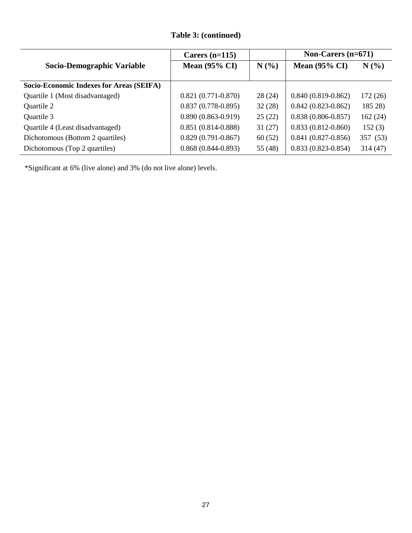# **Table 3: (continued)**

|                                          | Carers $(n=115)$         |         | Non-Carers $(n=671)$     |          |
|------------------------------------------|--------------------------|---------|--------------------------|----------|
| Socio-Demographic Variable               | Mean $(95\% \text{ CI})$ | N(%)    | Mean $(95\% \text{ CI})$ | N(%      |
| Socio-Economic Indexes for Areas (SEIFA) |                          |         |                          |          |
| Quartile 1 (Most disadvantaged)          | $0.821(0.771-0.870)$     | 28(24)  | $0.840(0.819 - 0.862)$   | 172(26)  |
| Quartile 2                               | $0.837(0.778-0.895)$     | 32(28)  | $0.842(0.823 - 0.862)$   | 185 28)  |
| Quartile 3                               | $0.890(0.863 - 0.919)$   | 25(22)  | $0.838(0.806 - 0.857)$   | 162(24)  |
| Quartile 4 (Least disadvantaged)         | $0.851(0.814 - 0.888)$   | 31(27)  | $0.833(0.812 - 0.860)$   | 152(3)   |
| Dichotomous (Bottom 2 quartiles)         | $0.829(0.791 - 0.867)$   | 60(52)  | $0.841(0.827-0.856)$     | 357 (53) |
| Dichotomous (Top 2 quartiles)            | $0.868(0.844-0.893)$     | 55 (48) | $0.833(0.823 - 0.854)$   | 314(47)  |

\*Significant at 6% (live alone) and 3% (do not live alone) levels.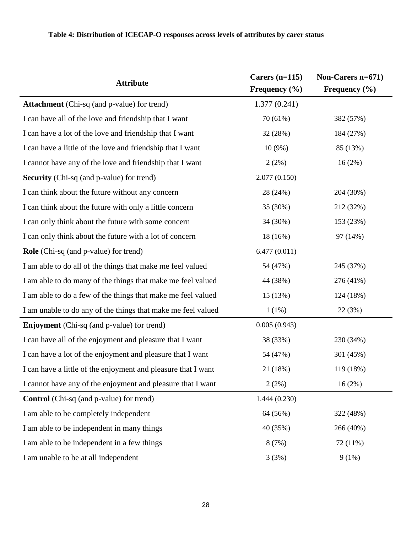# **Table 4: Distribution of ICECAP-O responses across levels of attributes by carer status**

| <b>Attribute</b>                                              | Carers $(n=115)$<br>Frequency $(\% )$ | Non-Carers n=671)<br>Frequency $(\% )$ |  |
|---------------------------------------------------------------|---------------------------------------|----------------------------------------|--|
| <b>Attachment</b> (Chi-sq (and p-value) for trend)            | 1.377(0.241)                          |                                        |  |
| I can have all of the love and friendship that I want         | 70 (61%)                              | 382 (57%)                              |  |
| I can have a lot of the love and friendship that I want       | 32 (28%)                              | 184 (27%)                              |  |
| I can have a little of the love and friendship that I want    | $10(9\%)$                             | 85 (13%)                               |  |
| I cannot have any of the love and friendship that I want      | 2(2%)                                 | 16(2%)                                 |  |
| <b>Security</b> (Chi-sq (and p-value) for trend)              | 2.077(0.150)                          |                                        |  |
| I can think about the future without any concern              | 28 (24%)                              | 204 (30%)                              |  |
| I can think about the future with only a little concern       | 35 (30%)                              | 212 (32%)                              |  |
| I can only think about the future with some concern           | 34 (30%)                              | 153 (23%)                              |  |
| I can only think about the future with a lot of concern       | 18 (16%)                              | 97 (14%)                               |  |
| <b>Role</b> (Chi-sq (and p-value) for trend)                  | 6.477(0.011)                          |                                        |  |
| I am able to do all of the things that make me feel valued    | 54 (47%)                              | 245 (37%)                              |  |
| I am able to do many of the things that make me feel valued   | 44 (38%)                              | 276 (41%)                              |  |
| I am able to do a few of the things that make me feel valued  | 15 (13%)                              | 124 (18%)                              |  |
| I am unable to do any of the things that make me feel valued  | 1(1%)                                 | 22 (3%)                                |  |
| <b>Enjoyment</b> (Chi-sq (and p-value) for trend)             | 0.005(0.943)                          |                                        |  |
| I can have all of the enjoyment and pleasure that I want      | 38 (33%)                              | 230 (34%)                              |  |
| I can have a lot of the enjoyment and pleasure that I want    | 54 (47%)                              | 301 (45%)                              |  |
| I can have a little of the enjoyment and pleasure that I want | 21 (18%)                              | 119 (18%)                              |  |
| I cannot have any of the enjoyment and pleasure that I want   | 2(2%)                                 | $16(2\%)$                              |  |
| <b>Control</b> (Chi-sq (and p-value) for trend)               | 1.444(0.230)                          |                                        |  |
| I am able to be completely independent                        | 64 (56%)                              | 322 (48%)                              |  |
| I am able to be independent in many things                    | 40 (35%)                              | 266 (40%)                              |  |
| I am able to be independent in a few things                   | 8(7%)                                 | 72 (11%)                               |  |
| I am unable to be at all independent                          | 3(3%)                                 | 9(1%)                                  |  |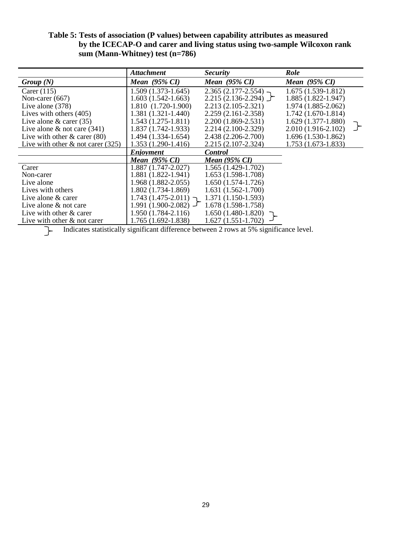## **Table 5: Tests of association (P values) between capability attributes as measured by the ICECAP-O and carer and living status using two-sample Wilcoxon rank sum (Mann-Whitney) test (n=786)**

|                                      | <b>Attachment</b>        | <i>Security</i>          | Role                     |  |
|--------------------------------------|--------------------------|--------------------------|--------------------------|--|
| Group(N)                             | Mean $(95\% \text{ CI})$ | Mean $(95\% \text{ CI})$ | Mean $(95\% \text{ CI})$ |  |
| Carer $(115)$                        | $1.509(1.373-1.645)$     | $2.365(2.177 - 2.554)$ - | $1.675(1.539-1.812)$     |  |
| Non-carer $(667)$                    | $1.603(1.542-1.663)$     | $2.215(2.136-2.294)$     | $1.885(1.822 - 1.947)$   |  |
| Live alone $(378)$                   | 1.810 (1.720-1.900)      | $2.213(2.105 - 2.321)$   | 1.974 (1.885-2.062)      |  |
| Lives with others (405)              | $1.381(1.321-1.440)$     | $2.259(2.161 - 2.358)$   | $1.742(1.670-1.814)$     |  |
| Live alone $\&$ carer (35)           | $1.543(1.275-1.811)$     | 2.200 (1.869-2.531)      | $1.629(1.377-1.880)$     |  |
| Live alone $\&$ not care (341)       | $1.837(1.742-1.933)$     | $2.214(2.100-2.329)$     | 2.010 (1.916-2.102)      |  |
| Live with other $\&$ carer (80)      | $1.494(1.334-1.654)$     | 2.438 (2.206-2.700)      | $1.696(1.530-1.862)$     |  |
| Live with other $\&$ not carer (325) | $1.353(1.290-1.416)$     | $2.215(2.107 - 2.324)$   | $1.753(1.673-1.833)$     |  |
|                                      | <b>Enjoyment</b>         | <b>Control</b>           |                          |  |
|                                      | Mean $(95\% \text{ CI})$ | Mean (95% CI)            |                          |  |
| Carer                                | $1.887(1.747 - 2.027)$   | 1.565 (1.429-1.702)      |                          |  |
| Non-carer                            | $1.881(1.822 - 1.941)$   | 1.653 (1.598-1.708)      |                          |  |
| Live alone                           | $1.968(1.882 - 2.055)$   | $1.650(1.574-1.726)$     |                          |  |
| Lives with others                    | $1.802(1.734-1.869)$     | $1.631(1.562-1.700)$     |                          |  |
| Live alone & carer                   | $1.743(1.475-2.011)$ ר   | $1.371(1.150-1.593)$     |                          |  |
| Live alone $&$ not care              | $1.991(1.900-2.082)$     | 1.678 (1.598-1.758)      |                          |  |
| Live with other & carer              | $1.950(1.784 - 2.116)$   | $1.650(1.480-1.820)$     |                          |  |
| Live with other $\&$ not carer       | 1.765 (1.692-1.838)      | $1.627(1.551-1.702)$     |                          |  |

Indicates statistically significant difference between 2 rows at 5% significance level.